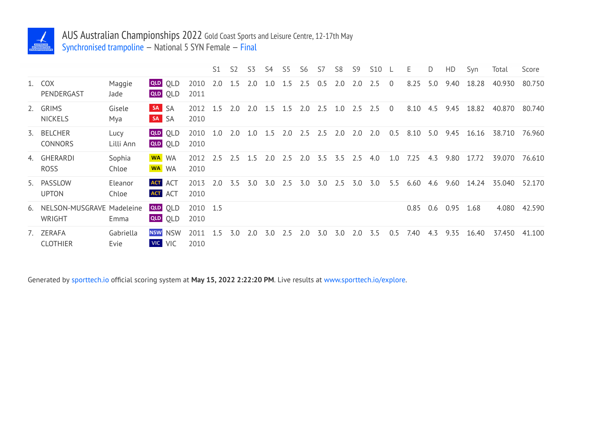

## AUS Australian Championships 2022 Gold Coast Sports and Leisure Centre, 12-17th May Synchronised trampoline — National 5 SYN Female — Final

|                                        |                   |                                  |                  | S1      | S2  | S <sub>3</sub> | S4      | S5  | S6  | S7  | S8  | S <sub>9</sub> | <b>S10</b> |                | E.   | D   | HD   | Syn   | Total  | Score  |
|----------------------------------------|-------------------|----------------------------------|------------------|---------|-----|----------------|---------|-----|-----|-----|-----|----------------|------------|----------------|------|-----|------|-------|--------|--------|
| 1. COX<br>PENDERGAST                   | Maggie<br>Jade    | QLD OLD<br>QLD OLD               | 2010<br>2011     | 2.0     | 1.5 | 2.0            | $1.0\,$ | 1.5 | 2.5 | 0.5 | 2.0 | 2.0            | 2.5        | $\overline{0}$ | 8.25 | 5.0 | 9.40 | 18.28 | 40.930 | 80.750 |
| 2. GRIMS<br><b>NICKELS</b>             | Gisele<br>Mya     | SA SA<br>SA SA                   | 2012<br>2010     | 1.5     | 2.0 | 2.0            | 1.5     | 1.5 | 2.0 | 2.5 | 1.0 | 2.5            | 2.5        | $\overline{0}$ | 8.10 | 4.5 | 9.45 | 18.82 | 40.870 | 80.740 |
| 3. BELCHER<br>CONNORS                  | Lucy<br>Lilli Ann | <b>QLD</b> OLD<br><b>QLD</b> OLD | 2010<br>2010     | $1.0\,$ | 2.0 | $1.0\,$        | 1.5     | 2.0 | 2.5 | 2.5 | 2.0 | 2.0            | 2.0        | 0.5            | 8.10 | 5.0 | 9.45 | 16.16 | 38.710 | 76.960 |
| 4. GHERARDI<br><b>ROSS</b>             | Sophia<br>Chloe   | WA WA<br>WA WA                   | 2012<br>2010     | 2.5     | 2.5 | 1.5            | 2.0     | 2.5 | 2.0 | 3.5 | 3.5 | 2.5            | 4.0        | 1.0            | 7.25 | 4.3 | 9.80 | 17.72 | 39.070 | 76.610 |
| 5. PASSLOW<br><b>UPTON</b>             | Eleanor<br>Chloe  | <b>ACT</b> ACT<br>ACT ACT        | 2013<br>2010     | 2.0     | 3.5 | 3.0            | 3.0     | 2.5 | 3.0 | 3.0 | 2.5 | 3.0            | 3.0        | 5.5            | 6.60 | 4.6 | 9.60 | 14.24 | 35.040 | 52.170 |
| 6. NELSON-MUSGRAVE Madeleine<br>WRIGHT | Emma              | <b>QLD</b> OLD<br><b>QLD</b> OLD | 2010 1.5<br>2010 |         |     |                |         |     |     |     |     |                |            |                | 0.85 | 0.6 | 0.95 | 1.68  | 4.080  | 42.590 |
| 7. ZERAFA<br><b>CLOTHIER</b>           | Gabriella<br>Evie | <b>NSW NSW</b><br><b>VIC</b> VIC | 2011<br>2010     | 1.5     | 3.0 | 2.0            | 3.0     | 2.5 | 2.0 | 3.0 | 3.0 | 2.0            | 3.5        | 0.5            | 7.40 | 4.3 | 9.35 | 16.40 | 37.450 | 41.100 |

Generated by sporttech.io official scoring system at **May 15, 2022 2:22:20 PM**. Live results at www.sporttech.io/explore.